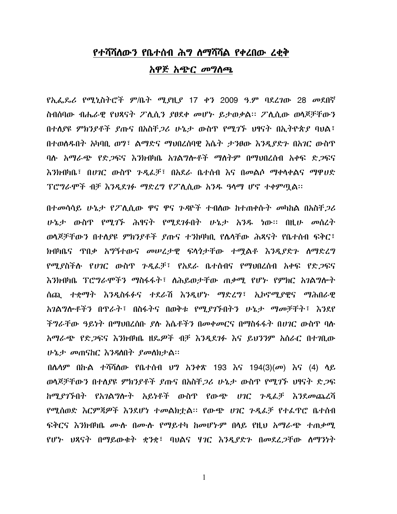## የተሻሻለውን የቤተሰብ ሕግ ለማሻሻል የቀረበው ረቂቅ አዋጅ አጭር መግስጫ

የኢፌዶሪ የሚኒስትሮች ም/ቤት ሚያዚያ 17 ቀን 2009 ዓ.ም ባደረገው 28 መደበኛ ስብሰባው ብሔራዊ የህጻናት ፖሲሲን ያፀደቀ መሆኑ ይታወቃል። ፖሲሲው ወሳጆቻቸውን በተለያዩ ምክንያቶች ያጡና በአስቸ*ጋሪ* ሁኔታ ውስጥ የሚገኙ ህፃናት በኢትዮጵያ ባህል፤ በተወሰዱበት አካባቢ ወግ፣ ልማድና ማህበረሰባዊ እሴት ታንፀው እንዲያድጉ በአገር ውስጥ ባሱ አማራጭ የድ*ጋ*ፍና እንክብካቤ አንልግሎቶች ማለትም በማህበረሰብ አቀፍ ድ*ጋ*ፍና እንክብካቤ፣ በሀገር ውስጥ ጉዳፌቻ፣ በአደራ ቤተሰብ እና በመልሶ ማቀላቀልና ማዋሀድ ፕሮግራሞች ብቻ እንዲደገፉ ማድረግ የፖለሲው አንዱ ዓላማ ሆኖ ተቀምጣል፡፡

በተመሳሳይ ሁኔ*ታ* የፖሊሲው ዋና ዋና ን*ዳ*ዮች ተብለው ከተጠቀሱት መካከል በአስቸ*ጋ*ሪ ሁኔታ ውስዋ የሚ*ገኙ* ሕፃናት የሚደ*ገፉ*በት ሁኔታ አንዱ ነው። በዚሁ *መ*ስረት ወሳጆቻቸውን በተለያዩ ምክንያቶች ያጡና ተንክባካቢ የሌሳቸው ሕጻናት የቤተሰብ ፍቅር፣ ክብካቤና ዋበቃ አግኝተውና መሠረታዊ ፍላጎታቸው ተማልቶ እንዲያድን ሰማድረግ *የሚያ*ስችሉ *የሀገ*ር ውስዋ *ጉዲ*ፌቻ፣ የአደራ ቤተሰብና የማህበረሰብ አቀፍ የድ*ጋ*ፍና እንክብካቤ ፕሮግራሞችን ማስፋፋት፣ ለሕይወታቸው ጠቃሚ የሆኑ የምክር አገልግሎት ሰጪ ተቋማት እንዲስፋፉና ተደራሽ እንዲሆኑ ማድረግ፣ ኢኮኖሚያዊና ማሕበራዊ አገልግሎቶችን በጥራት፣ በስፋትና በወቅቱ የሚያገኙበትን ሁኔታ ማመቻቸት፣ እንደየ ችግራቸው ዓይነት በማህበረሰቡ ደሉ እሴቶችን በመቀመርና በማስፋፋት በሀገር ውስጥ ባሉ አማራጭ የድ*ጋ*ፍና እንክብካቤ ዘዴ*ዎች* ብቻ እንዲደ*ገፉ* እና ይህንንም አሰራር በተ*ገ*ቢው ሁኔታ መጠናከር እንዳለበት ያመለክታል።

በሴሳም በኩል ተሻሻሰው የቤተሰብ ህግ አንቀጽ 193 እና 194(3)(መ) እና (4) ላይ ወሳጆቻቸውን በተሰያዩ ምክንያቶች ያጡና በአስቸ*ጋ*ሪ ሁኔታ ውስጥ የሚገኙ ህፃናት ድ*ጋ*ፍ ከሚያገኙበት የአገልግሎት አይነቶች ውስጥ የውጭ ሀገር ጉዲፌቻ እንደመጨረሻ የሚሰወድ እርምጃዎች እንደሆነ ተመልክቷል፡፡ የውጭ ሀገር ጉዲፌቻ የተፌዋሮ ቤተሰብ ፍቅርና እንክብካቤ ሙሉ በሙሉ የማይተካ ከመሆኑም በሳይ የዚህ አማራጭ ተጠቃሚ የሆኑ ህጻናት በማይውቁት ቋንቋ፣ ባህልና ሃገር እንዲያድን በመደረ*ጋ*ቸው ስማንነት

 $\mathbf{1}$